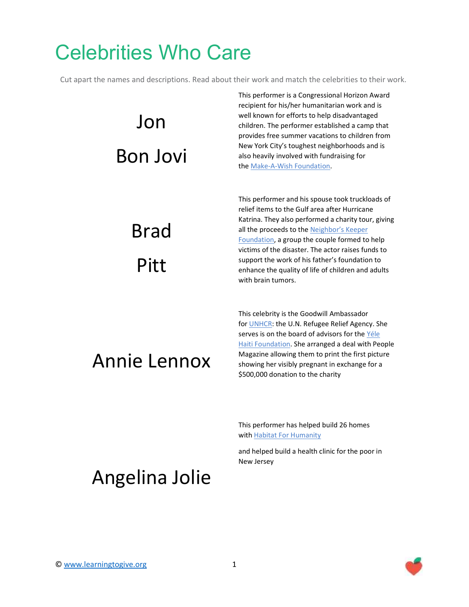### Celebrities Who Care

Cut apart the names and descriptions. Read about their work and match the celebrities to their work.

# Jon Bon Jovi

Brad

Pitt

This performer is a Congressional Horizon Award recipient for his/her humanitarian work and is well known for efforts to help disadvantaged children. The performer established a camp that provides free summer vacations to children from New York City's toughest neighborhoods and is also heavily involved with fundraising for the [Make-A-Wish Foundation.](http://www.looktothestars.org/charity/83-make-a-wish-foundation)

This performer and his spouse took truckloads of relief items to the Gulf area after Hurricane Katrina. They also performed a charity tour, giving all the proceeds to the Neighbor's Keeper [Foundation,](http://www.looktothestars.org/charity/256-neighbors-keeper-foundation) a group the couple formed to help victims of the disaster. The actor raises funds to support the work of his father's foundation to enhance the quality of life of children and adults with brain tumors.

#### Annie Lennox

This celebrity is the Goodwill Ambassador for [UNHCR:](http://www.looktothestars.org/charity/5-unhcr) the U.N. Refugee Relief Agency. She serves is on the board of advisors for the Yéle [Haiti Foundation.](http://www.looktothestars.org/charity/491-yele-haiti-foundation) She arranged a deal with People Magazine allowing them to print the first picture showing her visibly pregnant in exchange for a \$500,000 donation to the charity

This performer has helped build 26 homes with [Habitat For Humanity](http://www.looktothestars.org/charity/87-habitat-for-humanity)

and helped build a health clinic for the poor in New Jersey

#### Angelina Jolie